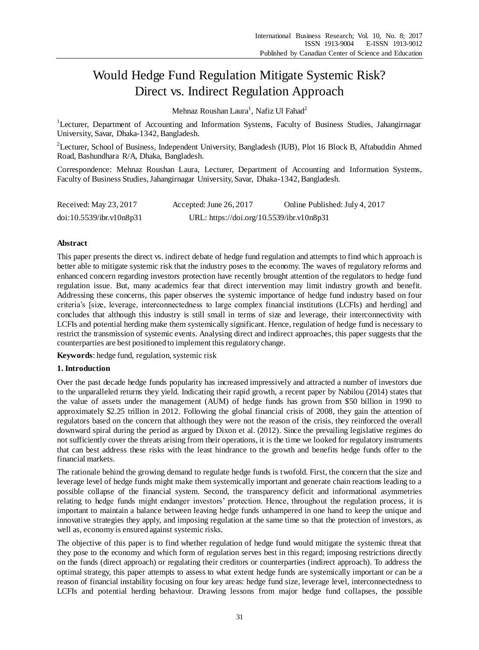# Would Hedge Fund Regulation Mitigate Systemic Risk? Direct vs. Indirect Regulation Approach

Mehnaz Roushan Laura<sup>1</sup>, Nafiz Ul Fahad<sup>2</sup>

<sup>1</sup>Lecturer, Department of Accounting and Information Systems, Faculty of Business Studies, Jahangirnagar University, Savar, Dhaka-1342, Bangladesh.

<sup>2</sup>Lecturer, School of Business, Independent University, Bangladesh (IUB), Plot 16 Block B, Aftabuddin Ahmed Road, Bashundhara R/A, Dhaka, Bangladesh.

Correspondence: Mehnaz Roushan Laura, Lecturer, Department of Accounting and Information Systems, Faculty of Business Studies, Jahangirnagar University, Savar, Dhaka-1342, Bangladesh.

| Received: May 23, 2017   | Accepted: June $26, 2017$                 | Online Published: July 4, 2017 |
|--------------------------|-------------------------------------------|--------------------------------|
| doi:10.5539/ibr.v10n8p31 | URL: https://doi.org/10.5539/ibr.v10n8p31 |                                |

# **Abstract**

This paper presents the direct vs. indirect debate of hedge fund regulation and attempts to find which approach is better able to mitigate systemic risk that the industry poses to the economy. The waves of regulatory reforms and enhanced concern regarding investors protection have recently brought attention of the regulators to hedge fund regulation issue. But, many academics fear that direct intervention may limit industry growth and benefit. Addressing these concerns, this paper observes the systemic importance of hedge fund industry based on four criteria's [size, leverage, interconnectedness to large complex financial institutions (LCFIs) and herding] and concludes that although this industry is still small in terms of size and leverage, their interconnectivity with LCFIs and potential herding make them systemically significant. Hence, regulation of hedge fund is necessary to restrict the transmission of systemic events. Analysing direct and indirect approaches, this paper suggests that the counterparties are best positioned to implement this regulatory change.

**Keywords**: hedge fund, regulation, systemic risk

# **1. Introduction**

Over the past decade hedge funds popularity has increased impressively and attracted a number of investors due to the unparalleled returns they yield. Indicating their rapid growth, a recent paper by Nabilou (2014) states that the value of assets under the management (AUM) of hedge funds has grown from \$50 billion in 1990 to approximately \$2.25 trillion in 2012. Following the global financial crisis of 2008, they gain the attention of regulators based on the concern that although they were not the reason of the crisis, they reinforced the overall downward spiral during the period as argued by Dixon et al. (2012). Since the prevailing legislative regimes do not sufficiently cover the threats arising from their operations, it is the time we looked for regulatory instruments that can best address these risks with the least hindrance to the growth and benefits hedge funds offer to the financial markets.

The rationale behind the growing demand to regulate hedge funds is twofold. First, the concern that the size and leverage level of hedge funds might make them systemically important and generate chain reactions leading to a possible collapse of the financial system. Second, the transparency deficit and informational asymmetries relating to hedge funds might endanger investors' protection. Hence, throughout the regulation process, it is important to maintain a balance between leaving hedge funds unhampered in one hand to keep the unique and innovative strategies they apply, and imposing regulation at the same time so that the protection of investors, as well as, economy is ensured against systemic risks.

The objective of this paper is to find whether regulation of hedge fund would mitigate the systemic threat that they pose to the economy and which form of regulation serves best in this regard; imposing restrictions directly on the funds (direct approach) or regulating their creditors or counterparties (indirect approach). To address the optimal strategy, this paper attempts to assess to what extent hedge funds are systemically important or can be a reason of financial instability focusing on four key areas: hedge fund size, leverage level, interconnectedness to LCFIs and potential herding behaviour. Drawing lessons from major hedge fund collapses, the possible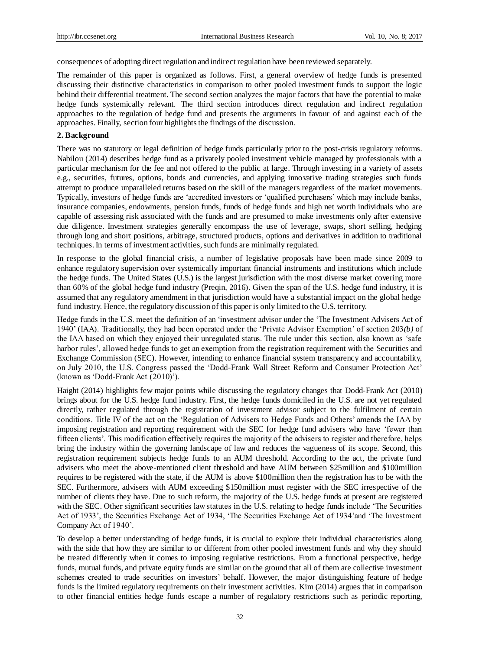consequences of adopting direct regulation and indirect regulation have been reviewed separately.

The remainder of this paper is organized as follows. First, a general overview of hedge funds is presented discussing their distinctive characteristics in comparison to other pooled investment funds to support the logic behind their differential treatment. The second section analyzes the major factors that have the potential to make hedge funds systemically relevant. The third section introduces direct regulation and indirect regulation approaches to the regulation of hedge fund and presents the arguments in favour of and against each of the approaches. Finally, section four highlights the findings of the discussion.

## **2. Background**

There was no statutory or legal definition of hedge funds particularly prior to the post-crisis regulatory reforms. Nabilou (2014) describes hedge fund as a privately pooled investment vehicle managed by professionals with a particular mechanism for the fee and not offered to the public at large. Through investing in a variety of assets e.g., securities, futures, options, bonds and currencies, and applying innovative trading strategies such funds attempt to produce unparalleled returns based on the skill of the managers regardless of the market movements. Typically, investors of hedge funds are 'accredited investors or 'qualified purchasers' which may include banks, insurance companies, endowments, pension funds, funds of hedge funds and high net worth individuals who are capable of assessing risk associated with the funds and are presumed to make investments only after extensive due diligence. Investment strategies generally encompass the use of leverage, swaps, short selling, hedging through long and short positions, arbitrage, structured products, options and derivatives in addition to traditional techniques. In terms of investment activities, such funds are minimally regulated.

In response to the global financial crisis, a number of legislative proposals have been made since 2009 to enhance regulatory supervision over systemically important financial instruments and institutions which include the hedge funds. The United States (U.S.) is the largest jurisdiction with the most diverse market covering more than 60% of the global hedge fund industry (Preqin, 2016). Given the span of the U.S. hedge fund industry, it is assumed that any regulatory amendment in that jurisdiction would have a substantial impact on the global hedge fund industry. Hence, the regulatory discussion of this paper is only limited to the U.S. territory.

Hedge funds in the U.S. meet the definition of an 'investment advisor under the 'The Investment Advisers Act of 1940' (IAA). Traditionally, they had been operated under the 'Private Advisor Exemption' of section 203*(b)* of the IAA based on which they enjoyed their unregulated status. The rule under this section, also known as 'safe harbor rules', allowed hedge funds to get an exemption from the registration requirement with the Securities and Exchange Commission (SEC). However, intending to enhance financial system transparency and accountability, on July 2010, the U.S. Congress passed the 'Dodd-Frank Wall Street Reform and Consumer Protection Act' (known as 'Dodd-Frank Act (2010)').

Haight (2014) highlights few major points while discussing the regulatory changes that Dodd-Frank Act (2010) brings about for the U.S. hedge fund industry. First, the hedge funds domiciled in the U.S. are not yet regulated directly, rather regulated through the registration of investment advisor subject to the fulfilment of certain conditions. Title IV of the act on the 'Regulation of Advisers to Hedge Funds and Others' amends the IAA by imposing registration and reporting requirement with the SEC for hedge fund advisers who have 'fewer than fifteen clients'. This modification effectively requires the majority of the advisers to register and therefore, helps bring the industry within the governing landscape of law and reduces the vagueness of its scope. Second, this registration requirement subjects hedge funds to an AUM threshold. According to the act, the private fund advisers who meet the above-mentioned client threshold and have AUM between \$25million and \$100million requires to be registered with the state, if the AUM is above \$100million then the registration has to be with the SEC. Furthermore, advisers with AUM exceeding \$150million must register with the SEC irrespective of the number of clients they have. Due to such reform, the majority of the U.S. hedge funds at present are registered with the SEC. Other significant securities law statutes in the U.S. relating to hedge funds include 'The Securities Act of 1933', the Securities Exchange Act of 1934, 'The Securities Exchange Act of 1934'and 'The Investment Company Act of 1940'.

To develop a better understanding of hedge funds, it is crucial to explore their individual characteristics along with the side that how they are similar to or different from other pooled investment funds and why they should be treated differently when it comes to imposing regulative restrictions. From a functional perspective, hedge funds, mutual funds, and private equity funds are similar on the ground that all of them are collective investment schemes created to trade securities on investors' behalf. However, the major distinguishing feature of hedge funds is the limited regulatory requirements on their investment activities. Kim (2014) argues that in comparison to other financial entities hedge funds escape a number of regulatory restrictions such as periodic reporting,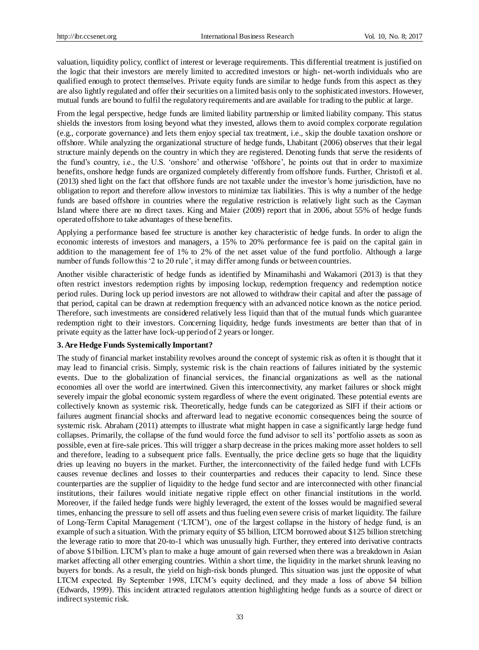valuation, liquidity policy, conflict of interest or leverage requirements. This differential treatment is justified on the logic that their investors are merely limited to accredited investors or high- net-worth individuals who are qualified enough to protect themselves. Private equity funds are similar to hedge funds from this aspect as they are also lightly regulated and offer their securities on a limited basis only to the sophisticated investors. However, mutual funds are bound to fulfil the regulatory requirements and are available for trading to the public at large.

From the legal perspective, hedge funds are limited liability partnership or limited liability company. This status shields the investors from losing beyond what they invested, allows them to avoid complex corporate regulation (e.g., corporate governance) and lets them enjoy special tax treatment, i.e., skip the double taxation onshore or offshore. While analyzing the organizational structure of hedge funds, Lhabitant (2006) observes that their legal structure mainly depends on the country in which they are registered. Denoting funds that serve the residents of the fund's country, i.e., the U.S. 'onshore' and otherwise 'offshore', he points out that in order to maximize benefits, onshore hedge funds are organized completely differently from offshore funds. Further, Christofi et al. (2013) shed light on the fact that offshore funds are not taxable under the investor's home jurisdiction, have no obligation to report and therefore allow investors to minimize tax liabilities. This is why a number of the hedge funds are based offshore in countries where the regulative restriction is relatively light such as the Cayman Island where there are no direct taxes. King and Maier (2009) report that in 2006, about 55% of hedge funds operated offshore to take advantages of these benefits.

Applying a performance based fee structure is another key characteristic of hedge funds. In order to align the economic interests of investors and managers, a 15% to 20% performance fee is paid on the capital gain in addition to the management fee of 1% to 2% of the net asset value of the fund portfolio. Although a large number of funds follow this '2 to 20 rule', it may differ among funds or between countries.

Another visible characteristic of hedge funds as identified by Minamihashi and Wakamori (2013) is that they often restrict investors redemption rights by imposing lockup, redemption frequency and redemption notice period rules. During lock up period investors are not allowed to withdraw their capital and after the passage of that period, capital can be drawn at redemption frequency with an advanced notice known as the notice period. Therefore, such investments are considered relatively less liquid than that of the mutual funds which guarantee redemption right to their investors. Concerning liquidity, hedge funds investments are better than that of in private equity as the latter have lock-up period of 2 years or longer.

## **3. Are Hedge Funds Systemically Important?**

The study of financial market instability revolves around the concept of systemic risk as often it is thought that it may lead to financial crisis. Simply, systemic risk is the chain reactions of failures initiated by the systemic events. Due to the globalization of financial services, the financial organizations as well as the national economies all over the world are intertwined. Given this interconnectivity, any market failures or shock might severely impair the global economic system regardless of where the event originated. These potential events are collectively known as systemic risk. Theoretically, hedge funds can be categorized as SIFI if their actions or failures augment financial shocks and afterward lead to negative economic consequences being the source of systemic risk. Abraham (2011) attempts to illustrate what might happen in case a significantly large hedge fund collapses. Primarily, the collapse of the fund would force the fund advisor to sell its' portfolio assets as soon as possible, even at fire-sale prices. This will trigger a sharp decrease in the prices making more asset holders to sell and therefore, leading to a subsequent price falls. Eventually, the price decline gets so huge that the liquidity dries up leaving no buyers in the market. Further, the interconnectivity of the failed hedge fund with LCFIs causes revenue declines and losses to their counterparties and reduces their capacity to lend. Since these counterparties are the supplier of liquidity to the hedge fund sector and are interconnected with other financial institutions, their failures would initiate negative ripple effect on other financial institutions in the world. Moreover, if the failed hedge funds were highly leveraged, the extent of the losses would be magnified several times, enhancing the pressure to sell off assets and thus fueling even severe crisis of market liquidity. The failure of Long-Term Capital Management ('LTCM'), one of the largest collapse in the history of hedge fund, is an example of such a situation. With the primary equity of \$5 billion, LTCM borrowed about \$125 billion stretching the leverage ratio to more that 20-to-1 which was unusually high. Further, they entered into derivative contracts of above \$1billion. LTCM's plan to make a huge amount of gain reversed when there was a breakdown in Asian market affecting all other emerging countries. Within a short time, the liquidity in the market shrunk leaving no buyers for bonds. As a result, the yield on high-risk bonds plunged. This situation was just the opposite of what LTCM expected. By September 1998, LTCM's equity declined, and they made a loss of above \$4 billion (Edwards, 1999). This incident attracted regulators attention highlighting hedge funds as a source of direct or indirect systemic risk.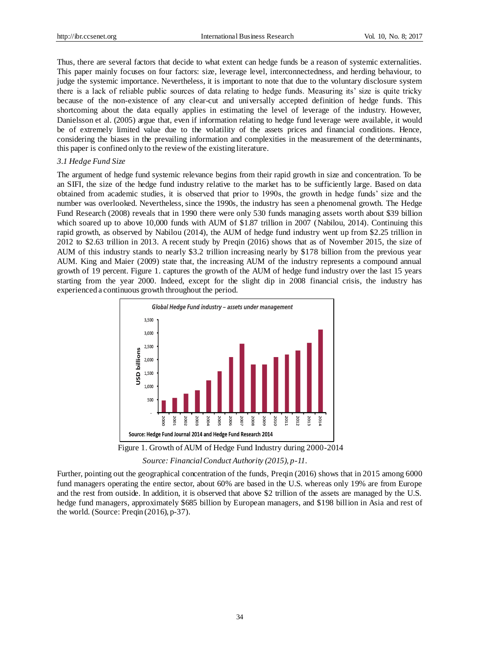Thus, there are several factors that decide to what extent can hedge funds be a reason of systemic externalities. This paper mainly focuses on four factors: size, leverage level, interconnectedness, and herding behaviour, to judge the systemic importance. Nevertheless, it is important to note that due to the voluntary disclosure system there is a lack of reliable public sources of data relating to hedge funds. Measuring its' size is quite tricky because of the non-existence of any clear-cut and universally accepted definition of hedge funds. This shortcoming about the data equally applies in estimating the level of leverage of the industry. However, Danielsson et al. (2005) argue that, even if information relating to hedge fund leverage were available, it would be of extremely limited value due to the volatility of the assets prices and financial conditions. Hence, considering the biases in the prevailing information and complexities in the measurement of the determinants, this paper is confined only to the review of the existing literature.

## *3.1 Hedge Fund Size*

The argument of hedge fund systemic relevance begins from their rapid growth in size and concentration. To be an SIFI, the size of the hedge fund industry relative to the market has to be sufficiently large. Based on data obtained from academic studies, it is observed that prior to 1990s, the growth in hedge funds' size and the number was overlooked. Nevertheless, since the 1990s, the industry has seen a phenomenal growth. The Hedge Fund Research (2008) reveals that in 1990 there were only 530 funds managing assets worth about \$39 billion which soared up to above 10,000 funds with AUM of \$1.87 trillion in 2007 (Nabilou, 2014). Continuing this rapid growth, as observed by Nabilou (2014), the AUM of hedge fund industry went up from \$2.25 trillion in 2012 to \$2.63 trillion in 2013. A recent study by Preqin (2016) shows that as of November 2015, the size of AUM of this industry stands to nearly \$3.2 trillion increasing nearly by \$178 billion from the previous year AUM. King and Maier (2009) state that, the increasing AUM of the industry represents a compound annual growth of 19 percent. Figure 1. captures the growth of the AUM of hedge fund industry over the last 15 years starting from the year 2000. Indeed, except for the slight dip in 2008 financial crisis, the industry has experienced a continuous growth throughout the period.



Figure 1. Growth of AUM of Hedge Fund Industry during 2000-2014

*Source: Financial Conduct Authority (2015), p-11.*

Further, pointing out the geographical concentration of the funds, Preqin (2016) shows that in 2015 among 6000 fund managers operating the entire sector, about 60% are based in the U.S. whereas only 19% are from Europe and the rest from outside. In addition, it is observed that above \$2 trillion of the assets are managed by the U.S. hedge fund managers, approximately \$685 billion by European managers, and \$198 billion in Asia and rest of the world. (Source: Preqin (2016), p-37).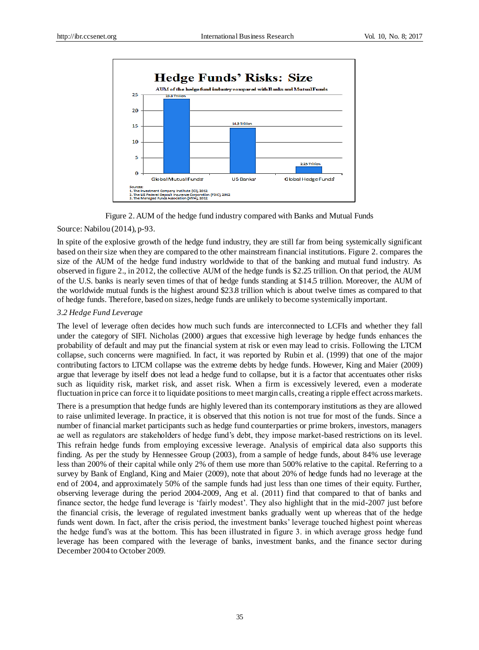

Figure 2. AUM of the hedge fund industry compared with Banks and Mutual Funds

# Source: Nabilou (2014), p-93.

In spite of the explosive growth of the hedge fund industry, they are still far from being systemically significant based on their size when they are compared to the other mainstream financial institutions. Figure 2. compares the size of the AUM of the hedge fund industry worldwide to that of the banking and mutual fund industry. As observed in figure 2., in 2012, the collective AUM of the hedge funds is \$2.25 trillion. On that period, the AUM of the U.S. banks is nearly seven times of that of hedge funds standing at \$14.5 trillion. Moreover, the AUM of the worldwide mutual funds is the highest around \$23.8 trillion which is about twelve times as compared to that of hedge funds. Therefore, based on sizes, hedge funds are unlikely to become systemically important.

# *3.2 Hedge Fund Leverage*

The level of leverage often decides how much such funds are interconnected to LCFIs and whether they fall under the category of SIFI. Nicholas (2000) argues that excessive high leverage by hedge funds enhances the probability of default and may put the financial system at risk or even may lead to crisis. Following the LTCM collapse, such concerns were magnified. In fact, it was reported by Rubin et al. (1999) that one of the major contributing factors to LTCM collapse was the extreme debts by hedge funds. However, King and Maier (2009) argue that leverage by itself does not lead a hedge fund to collapse, but it is a factor that accentuates other risks such as liquidity risk, market risk, and asset risk. When a firm is excessively levered, even a moderate fluctuation in price can force it to liquidate positions to meet margin calls, creating a ripple effect across markets.

There is a presumption that hedge funds are highly levered than its contemporary institutions as they are allowed to raise unlimited leverage. In practice, it is observed that this notion is not true for most of the funds. Since a number of financial market participants such as hedge fund counterparties or prime brokers, investors, managers ae well as regulators are stakeholders of hedge fund's debt, they impose market-based restrictions on its level. This refrain hedge funds from employing excessive leverage. Analysis of empirical data also supports this finding. As per the study by Hennessee Group (2003), from a sample of hedge funds, about 84% use leverage less than 200% of their capital while only 2% of them use more than 500% relative to the capital. Referring to a survey by Bank of England, King and Maier (2009), note that about 20% of hedge funds had no leverage at the end of 2004, and approximately 50% of the sample funds had just less than one times of their equity. Further, observing leverage during the period 2004-2009, Ang et al. (2011) find that compared to that of banks and finance sector, the hedge fund leverage is 'fairly modest'. They also highlight that in the mid-2007 just before the financial crisis, the leverage of regulated investment banks gradually went up whereas that of the hedge funds went down. In fact, after the crisis period, the investment banks' leverage touched highest point whereas the hedge fund's was at the bottom. This has been illustrated in figure 3. in which average gross hedge fund leverage has been compared with the leverage of banks, investment banks, and the finance sector during December 2004 to October 2009.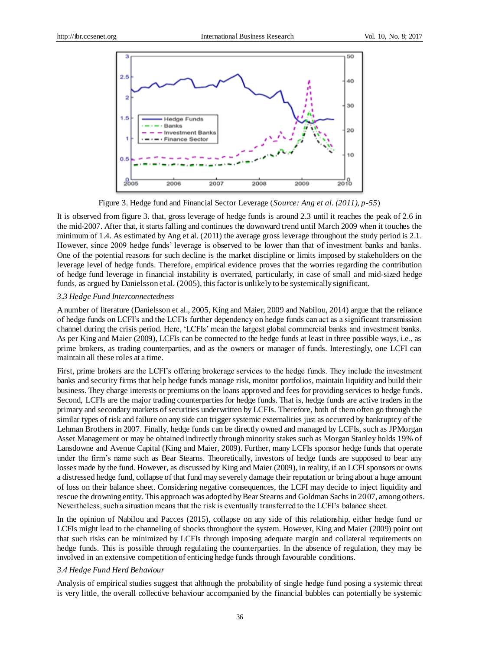

Figure 3. Hedge fund and Financial Sector Leverage (*Source: Ang et al. (2011), p-55*)

It is observed from figure 3. that, gross leverage of hedge funds is around 2.3 until it reaches the peak of 2.6 in the mid-2007. After that, it starts falling and continues the downward trend until March 2009 when it touches the minimum of 1.4. As estimated by Ang et al. (2011) the average gross leverage throughout the study period is 2.1. However, since 2009 hedge funds' leverage is observed to be lower than that of investment banks and banks. One of the potential reasons for such decline is the market discipline or limits imposed by stakeholders on the leverage level of hedge funds. Therefore, empirical evidence proves that the worries regarding the contribution of hedge fund leverage in financial instability is overrated, particularly, in case of small and mid-sized hedge funds, as argued by Danielsson et al. (2005), this factor is unlikely to be systemically significant.

## *3.3 Hedge Fund Interconnectedness*

A number of literature (Danielsson et al., 2005, King and Maier, 2009 and Nabilou, 2014) argue that the reliance of hedge funds on LCFI's and the LCFIs further dependency on hedge funds can act as a significant transmission channel during the crisis period. Here, 'LCFIs' mean the largest global commercial banks and investment banks. As per King and Maier (2009), LCFIs can be connected to the hedge funds at least in three possible ways, i.e., as prime brokers, as trading counterparties, and as the owners or manager of funds. Interestingly, one LCFI can maintain all these roles at a time.

First, prime brokers are the LCFI's offering brokerage services to the hedge funds. They include the investment banks and security firms that help hedge funds manage risk, monitor portfolios, maintain liquidity and build their business. They charge interests or premiums on the loans approved and fees for providing services to hedge funds. Second, LCFIs are the major trading counterparties for hedge funds. That is, hedge funds are active traders in the primary and secondary markets of securities underwritten by LCFIs. Therefore, both of them often go through the similar types of risk and failure on any side can trigger systemic externalities just as occurred by bankruptcy of the Lehman Brothers in 2007. Finally, hedge funds can be directly owned and managed by LCFIs, such as JPMorgan Asset Management or may be obtained indirectly through minority stakes such as Morgan Stanley holds 19% of Lansdowne and Avenue Capital (King and Maier, 2009). Further, many LCFIs sponsor hedge funds that operate under the firm's name such as Bear Stearns. Theoretically, investors of hedge funds are supposed to bear any losses made by the fund. However, as discussed by King and Maier (2009), in reality, if an LCFI sponsors or owns a distressed hedge fund, collapse of that fund may severely damage their reputation or bring about a huge amount of loss on their balance sheet. Considering negative consequences, the LCFI may decide to inject liquidity and rescue the drowning entity. This approach was adopted by Bear Stearns and Goldman Sachs in 2007, among others. Nevertheless, such a situation means that the risk is eventually transferred to the LCFI's balance sheet.

In the opinion of Nabilou and Pacces (2015), collapse on any side of this relationship, either hedge fund or LCFIs might lead to the channeling of shocks throughout the system. However, King and Maier (2009) point out that such risks can be minimized by LCFIs through imposing adequate margin and collateral requirements on hedge funds. This is possible through regulating the counterparties. In the absence of regulation, they may be involved in an extensive competition of enticing hedge funds through favourable conditions.

## *3.4 Hedge Fund Herd Behaviour*

Analysis of empirical studies suggest that although the probability of single hedge fund posing a systemic threat is very little, the overall collective behaviour accompanied by the financial bubbles can potentially be systemic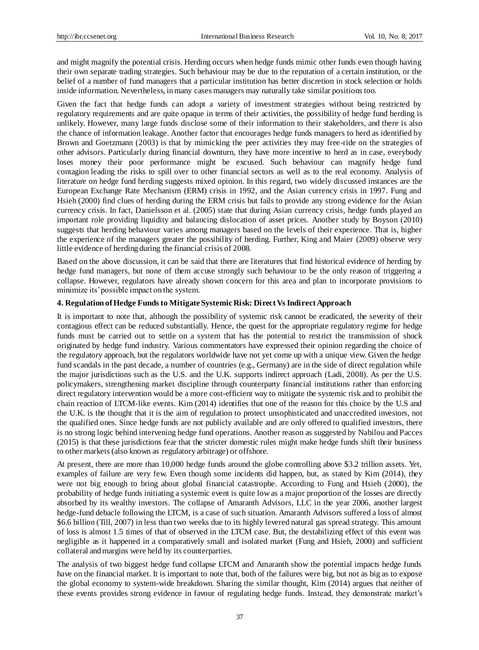and might magnify the potential crisis. Herding occurs when hedge funds mimic other funds even though having their own separate trading strategies. Such behaviour may be due to the reputation of a certain institution, or the belief of a number of fund managers that a particular institution has better discretion in stock selection or holds inside information. Nevertheless, in many cases managers may naturally take similar positions too.

Given the fact that hedge funds can adopt a variety of investment strategies without being restricted by regulatory requirements and are quite opaque in terms of their activities, the possibility of hedge fund herding is unlikely. However, many large funds disclose some of their information to their stakeholders, and there is also the chance of information leakage. Another factor that encourages hedge funds managers to herd as identified by Brown and Goetzmann (2003) is that by mimicking the peer activities they may free-ride on the strategies of other advisors. Particularly during financial downturn, they have more incentive to herd as in case, everybody loses money their poor performance might be excused. Such behaviour can magnify hedge fund contagion leading the risks to spill over to other financial sectors as well as to the real economy. Analysis of literature on hedge fund herding suggests mixed opinion. In this regard, two widely discussed instances are the European Exchange Rate Mechanism (ERM) crisis in 1992, and the Asian currency crisis in 1997. Fung and Hsieh (2000) find clues of herding during the ERM crisis but fails to provide any strong evidence for the Asian currency crisis. In fact, Danielsson et al. (2005) state that during Asian currency crisis, hedge funds played an important role providing liquidity and balancing dislocation of asset prices. Another study by Boyson (2010) suggests that herding behaviour varies among managers based on the levels of their experience. That is, higher the experience of the managers greater the possibility of herding. Further, King and Maier (2009) observe very little evidence of herding during the financial crisis of 2008.

Based on the above discussion, it can be said that there are literatures that find historical evidence of herding by hedge fund managers, but none of them accuse strongly such behaviour to be the only reason of triggering a collapse. However, regulators have already shown concern for this area and plan to incorporate provisions to minimize its' possible impact on the system.

## **4. Regulation of Hedge Funds to Mitigate Systemic Risk: Direct Vs Indirect Approach**

It is important to note that, although the possibility of systemic risk cannot be eradicated, the severity of their contagious effect can be reduced substantially. Hence, the quest for the appropriate regulatory regime for hedge funds must be carried out to settle on a system that has the potential to restrict the transmission of shock originated by hedge fund industry. Various commentators have expressed their opinion regarding the choice of the regulatory approach, but the regulators worldwide have not yet come up with a unique view. Given the hedge fund scandals in the past decade, a number of countries (e.g., Germany) are in the side of direct regulation while the major jurisdictions such as the U.S. and the U.K. supports indirect approach (Ladi, 2008). As per the U.S. policymakers, strengthening market discipline through counterparty financial institutions rather than enforcing direct regulatory intervention would be a more cost-efficient way to mitigate the systemic risk and to prohibit the chain reaction of LTCM-like events. Kim (2014) identifies that one of the reason for this choice by the U.S and the U.K. is the thought that it is the aim of regulation to protect unsophisticated and unaccredited investors, not the qualified ones. Since hedge funds are not publicly available and are only offered to qualified investors, there is no strong logic behind intervening hedge fund operations. Another reason as suggested by Nabilou and Pacces (2015) is that these jurisdictions fear that the stricter domestic rules might make hedge funds shift their business to other markets (also known as regulatory arbitrage) or offshore.

At present, there are more than 10,000 hedge funds around the globe controlling above \$3.2 trillion assets. Yet, examples of failure are very few. Even though some incidents did happen, but, as stated by Kim (2014), they were not big enough to bring about global financial catastrophe. According to Fung and Hsieh (2000), the probability of hedge funds initiating a systemic event is quite low as a major proportion of the losses are directly absorbed by its wealthy investors. The collapse of Amaranth Advisors, LLC in the year 2006, another largest hedge-fund debacle following the LTCM, is a case of such situation. Amaranth Advisors suffered a loss of almost \$6.6 billion (Till, 2007) in less than two weeks due to its highly levered natural gas spread strategy. This amount of loss is almost 1.5 times of that of observed in the LTCM case. But, the destabilizing effect of this event was negligible as it happened in a comparatively small and isolated market (Fung and Hsieh, 2000) and sufficient collateral and margins were held by its counterparties.

The analysis of two biggest hedge fund collapse LTCM and Amaranth show the potential impacts hedge funds have on the financial market. It is important to note that, both of the failures were big, but not as big as to expose the global economy to system-wide breakdown. Sharing the similar thought, Kim (2014) argues that neither of these events provides strong evidence in favour of regulating hedge funds. Instead, they demonstrate market's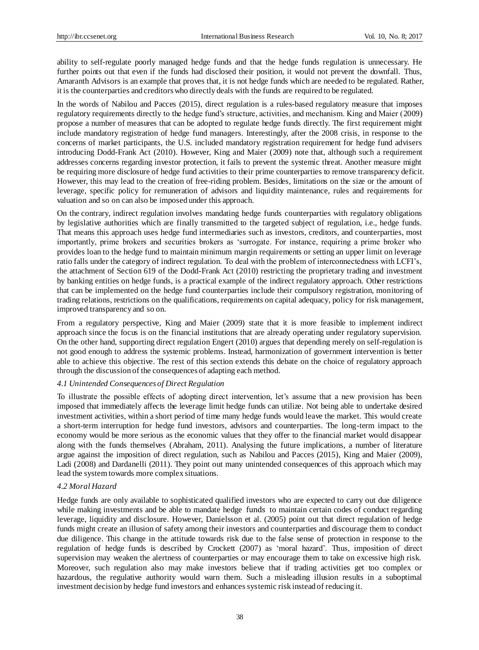ability to self-regulate poorly managed hedge funds and that the hedge funds regulation is unnecessary. He further points out that even if the funds had disclosed their position, it would not prevent the downfall. Thus, Amaranth Advisors is an example that proves that, it is not hedge funds which are needed to be regulated. Rather, it is the counterparties and creditors who directly deals with the funds are required to be regulated.

In the words of Nabilou and Pacces (2015), direct regulation is a rules-based regulatory measure that imposes regulatory requirements directly to the hedge fund's structure, activities, and mechanism. King and Maier (2009) propose a number of measures that can be adopted to regulate hedge funds directly. The first requirement might include mandatory registration of hedge fund managers. Interestingly, after the 2008 crisis, in response to the concerns of market participants, the U.S. included mandatory registration requirement for hedge fund advisers introducing Dodd-Frank Act (2010). However, King and Maier (2009) note that, although such a requirement addresses concerns regarding investor protection, it fails to prevent the systemic threat. Another measure might be requiring more disclosure of hedge fund activities to their prime counterparties to remove transparency deficit. However, this may lead to the creation of free-riding problem. Besides, limitations on the size or the amount of leverage, specific policy for remuneration of advisors and liquidity maintenance, rules and requirements for valuation and so on can also be imposed under this approach.

On the contrary, indirect regulation involves mandating hedge funds counterparties with regulatory obligations by legislative authorities which are finally transmitted to the targeted subject of regulation, i.e., hedge funds. That means this approach uses hedge fund intermediaries such as investors, creditors, and counterparties, most importantly, prime brokers and securities brokers as 'surrogate. For instance, requiring a prime broker who provides loan to the hedge fund to maintain minimum margin requirements or setting an upper limit on leverage ratio falls under the category of indirect regulation. To deal with the problem of interconnectedness with LCFI's, the attachment of Section 619 of the Dodd-Frank Act (2010) restricting the proprietary trading and investment by banking entities on hedge funds, is a practical example of the indirect regulatory approach. Other restrictions that can be implemented on the hedge fund counterparties include their compulsory registration, monitoring of trading relations, restrictions on the qualifications, requirements on capital adequacy, policy for risk management, improved transparency and so on.

From a regulatory perspective, King and Maier (2009) state that it is more feasible to implement indirect approach since the focus is on the financial institutions that are already operating under regulatory supervision. On the other hand, supporting direct regulation Engert (2010) argues that depending merely on self-regulation is not good enough to address the systemic problems. Instead, harmonization of government intervention is better able to achieve this objective. The rest of this section extends this debate on the choice of regulatory approach through the discussion of the consequences of adapting each method.

# *4.1 Unintended Consequences of Direct Regulation*

To illustrate the possible effects of adopting direct intervention, let's assume that a new provision has been imposed that immediately affects the leverage limit hedge funds can utilize. Not being able to undertake desired investment activities, within a short period of time many hedge funds would leave the market. This would create a short-term interruption for hedge fund investors, advisors and counterparties. The long-term impact to the economy would be more serious as the economic values that they offer to the financial market would disappear along with the funds themselves (Abraham, 2011). Analysing the future implications, a number of literature argue against the imposition of direct regulation, such as Nabilou and Pacces (2015), King and Maier (2009), Ladi (2008) and Dardanelli (2011). They point out many unintended consequences of this approach which may lead the system towards more complex situations.

# *4.2 Moral Hazard*

Hedge funds are only available to sophisticated qualified investors who are expected to carry out due diligence while making investments and be able to mandate hedge funds to maintain certain codes of conduct regarding leverage, liquidity and disclosure. However, Danielsson et al. (2005) point out that direct regulation of hedge funds might create an illusion of safety among their investors and counterparties and discourage them to conduct due diligence. This change in the attitude towards risk due to the false sense of protection in response to the regulation of hedge funds is described by Crockett (2007) as 'moral hazard'. Thus, imposition of direct supervision may weaken the alertness of counterparties or may encourage them to take on excessive high risk. Moreover, such regulation also may make investors believe that if trading activities get too complex or hazardous, the regulative authority would warn them. Such a misleading illusion results in a suboptimal investment decision by hedge fund investors and enhances systemic risk instead of reducing it.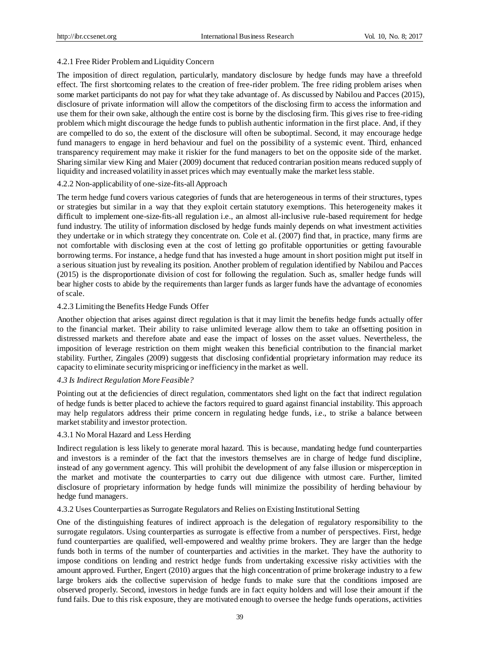# 4.2.1 Free Rider Problem and Liquidity Concern

The imposition of direct regulation, particularly, mandatory disclosure by hedge funds may have a threefold effect. The first shortcoming relates to the creation of free-rider problem. The free riding problem arises when some market participants do not pay for what they take advantage of. As discussed by Nabilou and Pacces (2015), disclosure of private information will allow the competitors of the disclosing firm to access the information and use them for their own sake, although the entire cost is borne by the disclosing firm. This gives rise to free-riding problem which might discourage the hedge funds to publish authentic information in the first place. And, if they are compelled to do so, the extent of the disclosure will often be suboptimal. Second, it may encourage hedge fund managers to engage in herd behaviour and fuel on the possibility of a systemic event. Third, enhanced transparency requirement may make it riskier for the fund managers to bet on the opposite side of the market. Sharing similar view King and Maier (2009) document that reduced contrarian position means reduced supply of liquidity and increased volatility in asset prices which may eventually make the market less stable.

# 4.2.2 Non-applicability of one-size-fits-all Approach

The term hedge fund covers various categories of funds that are heterogeneous in terms of their structures, types or strategies but similar in a way that they exploit certain statutory exemptions. This heterogeneity makes it difficult to implement one-size-fits-all regulation i.e., an almost all-inclusive rule-based requirement for hedge fund industry. The utility of information disclosed by hedge funds mainly depends on what investment activities they undertake or in which strategy they concentrate on. Cole et al. (2007) find that, in practice, many firms are not comfortable with disclosing even at the cost of letting go profitable opportunities or getting favourable borrowing terms. For instance, a hedge fund that has invested a huge amount in short position might put itself in a serious situation just by revealing its position. Another problem of regulation identified by Nabilou and Pacces (2015) is the disproportionate division of cost for following the regulation. Such as, smaller hedge funds will bear higher costs to abide by the requirements than larger funds as larger funds have the advantage of economies of scale.

# 4.2.3 Limiting the Benefits Hedge Funds Offer

Another objection that arises against direct regulation is that it may limit the benefits hedge funds actually offer to the financial market. Their ability to raise unlimited leverage allow them to take an offsetting position in distressed markets and therefore abate and ease the impact of losses on the asset values. Nevertheless, the imposition of leverage restriction on them might weaken this beneficial contribution to the financial market stability. Further, Zingales (2009) suggests that disclosing confidential proprietary information may reduce its capacity to eliminate security mispricing or inefficiency in the market as well.

# *4.3 Is Indirect Regulation More Feasible?*

Pointing out at the deficiencies of direct regulation, commentators shed light on the fact that indirect regulation of hedge funds is better placed to achieve the factors required to guard against financial instability. This approach may help regulators address their prime concern in regulating hedge funds, i.e., to strike a balance between market stability and investor protection.

# 4.3.1 No Moral Hazard and Less Herding

Indirect regulation is less likely to generate moral hazard. This is because, mandating hedge fund counterparties and investors is a reminder of the fact that the investors themselves are in charge of hedge fund discipline, instead of any government agency. This will prohibit the development of any false illusion or misperception in the market and motivate the counterparties to carry out due diligence with utmost care. Further, limited disclosure of proprietary information by hedge funds will minimize the possibility of herding behaviour by hedge fund managers.

# 4.3.2 Uses Counterparties as Surrogate Regulators and Relies on Existing Institutional Setting

One of the distinguishing features of indirect approach is the delegation of regulatory responsibility to the surrogate regulators. Using counterparties as surrogate is effective from a number of perspectives. First, hedge fund counterparties are qualified, well-empowered and wealthy prime brokers. They are larger than the hedge funds both in terms of the number of counterparties and activities in the market. They have the authority to impose conditions on lending and restrict hedge funds from undertaking excessive risky activities with the amount approved. Further, Engert (2010) argues that the high concentration of prime brokerage industry to a few large brokers aids the collective supervision of hedge funds to make sure that the conditions imposed are observed properly. Second, investors in hedge funds are in fact equity holders and will lose their amount if the fund fails. Due to this risk exposure, they are motivated enough to oversee the hedge funds operations, activities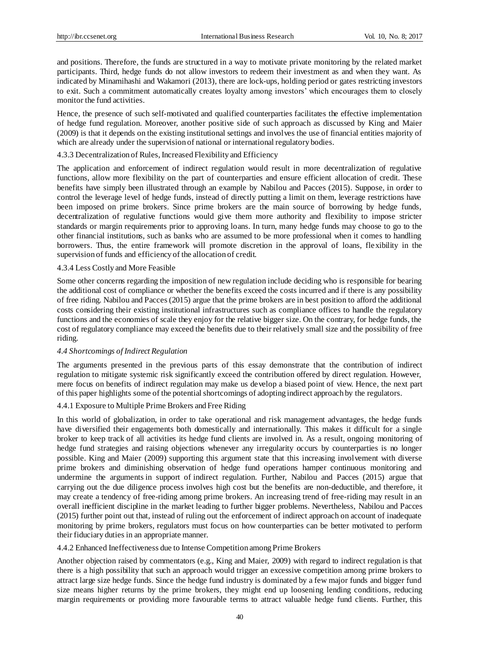and positions. Therefore, the funds are structured in a way to motivate private monitoring by the related market participants. Third, hedge funds do not allow investors to redeem their investment as and when they want. As indicated by Minamihashi and Wakamori (2013), there are lock-ups, holding period or gates restricting investors to exit. Such a commitment automatically creates loyalty among investors' which encourages them to closely monitor the fund activities.

Hence, the presence of such self-motivated and qualified counterparties facilitates the effective implementation of hedge fund regulation. Moreover, another positive side of such approach as discussed by King and Maier (2009) is that it depends on the existing institutional settings and involves the use of financial entities majority of which are already under the supervision of national or international regulatory bodies.

## 4.3.3 Decentralization of Rules, Increased Flexibility and Efficiency

The application and enforcement of indirect regulation would result in more decentralization of regulative functions, allow more flexibility on the part of counterparties and ensure efficient allocation of credit. These benefits have simply been illustrated through an example by Nabilou and Pacces (2015). Suppose, in order to control the leverage level of hedge funds, instead of directly putting a limit on them, leverage restrictions have been imposed on prime brokers. Since prime brokers are the main source of borrowing by hedge funds, decentralization of regulative functions would give them more authority and flexibility to impose stricter standards or margin requirements prior to approving loans. In turn, many hedge funds may choose to go to the other financial institutions, such as banks who are assumed to be more professional when it comes to handling borrowers. Thus, the entire framework will promote discretion in the approval of loans, flexibility in the supervision of funds and efficiency of the allocation of credit.

## 4.3.4 Less Costly and More Feasible

Some other concerns regarding the imposition of new regulation include deciding who is responsible for bearing the additional cost of compliance or whether the benefits exceed the costs incurred and if there is any possibility of free riding. Nabilou and Pacces (2015) argue that the prime brokers are in best position to afford the additional costs considering their existing institutional infrastructures such as compliance offices to handle the regulatory functions and the economies of scale they enjoy for the relative bigger size. On the contrary, for hedge funds, the cost of regulatory compliance may exceed the benefits due to their relatively small size and the possibility of free riding.

## *4.4 Shortcomings of Indirect Regulation*

The arguments presented in the previous parts of this essay demonstrate that the contribution of indirect regulation to mitigate systemic risk significantly exceed the contribution offered by direct regulation. However, mere focus on benefits of indirect regulation may make us develop a biased point of view. Hence, the next part of this paper highlights some of the potential shortcomings of adopting indirect approach by the regulators.

# 4.4.1 Exposure to Multiple Prime Brokers and Free Riding

In this world of globalization, in order to take operational and risk management advantages, the hedge funds have diversified their engagements both domestically and internationally. This makes it difficult for a single broker to keep track of all activities its hedge fund clients are involved in. As a result, ongoing monitoring of hedge fund strategies and raising objections whenever any irregularity occurs by counterparties is no longer possible. King and Maier (2009) supporting this argument state that this increasing involvement with diverse prime brokers and diminishing observation of hedge fund operations hamper continuous monitoring and undermine the arguments in support of indirect regulation. Further, Nabilou and Pacces (2015) argue that carrying out the due diligence process involves high cost but the benefits are non-deductible, and therefore, it may create a tendency of free-riding among prime brokers. An increasing trend of free-riding may result in an overall inefficient discipline in the market leading to further bigger problems. Nevertheless, Nabilou and Pacces (2015) further point out that, instead of ruling out the enforcement of indirect approach on account of inadequate monitoring by prime brokers, regulators must focus on how counterparties can be better motivated to perform their fiduciary duties in an appropriate manner.

## 4.4.2 Enhanced Ineffectiveness due to Intense Competition among Prime Brokers

Another objection raised by commentators (e.g., King and Maier, 2009) with regard to indirect regulation is that there is a high possibility that such an approach would trigger an excessive competition among prime brokers to attract large size hedge funds. Since the hedge fund industry is dominated by a few major funds and bigger fund size means higher returns by the prime brokers, they might end up loosening lending conditions, reducing margin requirements or providing more favourable terms to attract valuable hedge fund clients. Further, this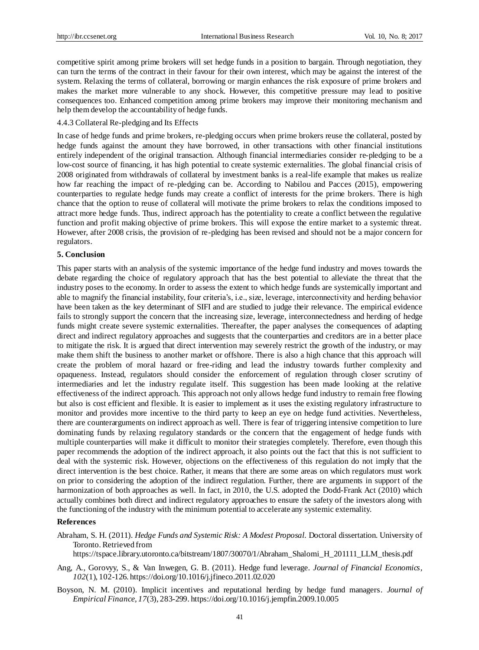competitive spirit among prime brokers will set hedge funds in a position to bargain. Through negotiation, they can turn the terms of the contract in their favour for their own interest, which may be against the interest of the system. Relaxing the terms of collateral, borrowing or margin enhances the risk exposure of prime brokers and makes the market more vulnerable to any shock. However, this competitive pressure may lead to positive consequences too. Enhanced competition among prime brokers may improve their monitoring mechanism and help them develop the accountability of hedge funds.

#### 4.4.3 Collateral Re-pledging and Its Effects

In case of hedge funds and prime brokers, re-pledging occurs when prime brokers reuse the collateral, posted by hedge funds against the amount they have borrowed, in other transactions with other financial institutions entirely independent of the original transaction. Although financial intermediaries consider re-pledging to be a low-cost source of financing, it has high potential to create systemic externalities. The global financial crisis of 2008 originated from withdrawals of collateral by investment banks is a real-life example that makes us realize how far reaching the impact of re-pledging can be. According to Nabilou and Pacces (2015), empowering counterparties to regulate hedge funds may create a conflict of interests for the prime brokers. There is high chance that the option to reuse of collateral will motivate the prime brokers to relax the conditions imposed to attract more hedge funds. Thus, indirect approach has the potentiality to create a conflict between the regulative function and profit making objective of prime brokers. This will expose the entire market to a systemic threat. However, after 2008 crisis, the provision of re-pledging has been revised and should not be a major concern for regulators.

#### **5. Conclusion**

This paper starts with an analysis of the systemic importance of the hedge fund industry and moves towards the debate regarding the choice of regulatory approach that has the best potential to alleviate the threat that the industry poses to the economy. In order to assess the extent to which hedge funds are systemically important and able to magnify the financial instability, four criteria's, i.e., size, leverage, interconnectivity and herding behavior have been taken as the key determinant of SIFI and are studied to judge their relevance. The empirical evidence fails to strongly support the concern that the increasing size, leverage, interconnectedness and herding of hedge funds might create severe systemic externalities. Thereafter, the paper analyses the consequences of adapting direct and indirect regulatory approaches and suggests that the counterparties and creditors are in a better place to mitigate the risk. It is argued that direct intervention may severely restrict the growth of the industry, or may make them shift the business to another market or offshore. There is also a high chance that this approach will create the problem of moral hazard or free-riding and lead the industry towards further complexity and opaqueness. Instead, regulators should consider the enforcement of regulation through closer scrutiny of intermediaries and let the industry regulate itself. This suggestion has been made looking at the relative effectiveness of the indirect approach. This approach not only allows hedge fund industry to remain free flowing but also is cost efficient and flexible. It is easier to implement as it uses the existing regulatory infrastructure to monitor and provides more incentive to the third party to keep an eye on hedge fund activities. Nevertheless, there are counterarguments on indirect approach as well. There is fear of triggering intensive competition to lure dominating funds by relaxing regulatory standards or the concern that the engagement of hedge funds with multiple counterparties will make it difficult to monitor their strategies completely. Therefore, even though this paper recommends the adoption of the indirect approach, it also points out the fact that this is not sufficient to deal with the systemic risk. However, objections on the effectiveness of this regulation do not imply that the direct intervention is the best choice. Rather, it means that there are some areas on which regulators must work on prior to considering the adoption of the indirect regulation. Further, there are arguments in support of the harmonization of both approaches as well. In fact, in 2010, the U.S. adopted the Dodd-Frank Act (2010) which actually combines both direct and indirect regulatory approaches to ensure the safety of the investors along with the functioning of the industry with the minimum potential to accelerate any systemic externality.

## **References**

Abraham, S. H. (2011). *Hedge Funds and Systemic Risk: A Modest Proposal.* Doctoral dissertation. University of Toronto. Retrieved from

https://tspace.library.utoronto.ca/bitstream/1807/30070/1/Abraham\_Shalomi\_H\_201111\_LLM\_thesis.pdf

- Ang, A., Gorovyy, S., & Van Inwegen, G. B. (2011). Hedge fund leverage. *Journal of Financial Economics, 102*(1), 102-126. https://doi.org/10.1016/j.jfineco.2011.02.020
- Boyson, N. M. (2010). Implicit incentives and reputational herding by hedge fund managers*. Journal of Empirical Finance*, *17*(3), 283-299. https://doi.org/10.1016/j.jempfin.2009.10.005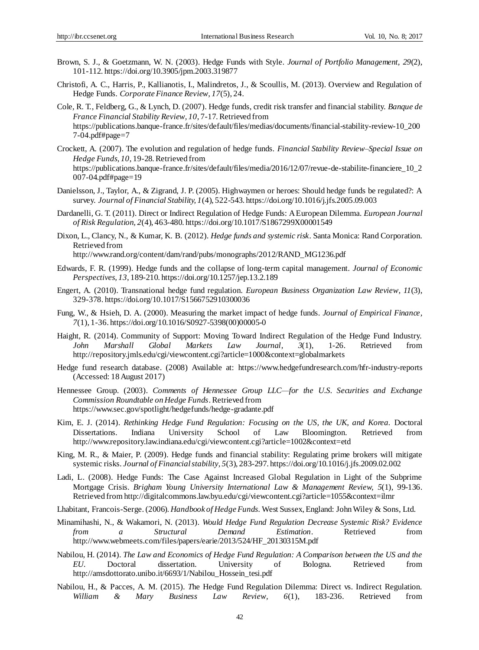- Brown, S. J., & Goetzmann, W. N. (2003). Hedge Funds with Style. *Journal of Portfolio Management, 29*(2), 101-112. https://doi.org/10.3905/jpm.2003.319877
- Christofi, A. C., Harris, P., Kallianotis, I., Malindretos, J., & Scoullis, M. (2013). Overview and Regulation of Hedge Funds. *Corporate Finance Review, 17*(5), 24.
- Cole, R. T., Feldberg, G., & Lynch, D. (2007). Hedge funds, credit risk transfer and financial stability. *Banque de France Financial Stability Review, 10*, 7-17.Retrieved from https://publications.banque-france.fr/sites/default/files/medias/documents/financial-stability-review-10\_200 7-04.pdf#page=7
- Crockett, A. (2007). The evolution and regulation of hedge funds. *Financial Stability Review–Special Issue on Hedge Funds, 10*, 19-28.Retrieved from https://publications.banque-france.fr/sites/default/files/media/2016/12/07/revue-de-stabilite-financiere\_10\_2 007-04.pdf#page=19
- Danielsson, J., Taylor, A., & Zigrand, J. P. (2005). Highwaymen or heroes: Should hedge funds be regulated?: A survey. *Journal of Financial Stability, 1*(4), 522-543. https://doi.org/10.1016/j.jfs.2005.09.003
- Dardanelli, G. T. (2011). Direct or Indirect Regulation of Hedge Funds: A European Dilemma*. European Journal of Risk Regulation, 2*(4), 463-480. https://doi.org/10.1017/S1867299X00001549
- Dixon, L., Clancy, N., & Kumar, K. B. (2012). *Hedge funds and systemic risk*. Santa Monica: Rand Corporation. Retrieved from

http://www.rand.org/content/dam/rand/pubs/monographs/2012/RAND\_MG1236.pdf

- Edwards, F. R. (1999). Hedge funds and the collapse of long-term capital management. *Journal of Economic Perspectives, 13*, 189-210. https://doi.org/10.1257/jep.13.2.189
- Engert, A. (2010). Transnational hedge fund regulation. *European Business Organization Law Review, 11*(3), 329-378. https://doi.org/10.1017/S1566752910300036
- Fung, W., & Hsieh, D. A. (2000). Measuring the market impact of hedge funds. *Journal of Empirical Finance, 7*(1), 1-36. https://doi.org/10.1016/S0927-5398(00)00005-0
- Haight, R. (2014). Community of Support: Moving Toward Indirect Regulation of the Hedge Fund Industry. *John Marshall Global Markets Law Journal, 3*(1), 1-26. Retrieved from http://repository.jmls.edu/cgi/viewcontent.cgi?article=1000&context=globalmarkets
- Hedge fund research database. (2008) Available at: https://www.hedgefundresearch.com/hfr-industry-reports (Accessed: 18 August 2017)
- Hennessee Group. (2003). *Comments of Hennessee Group LLC—for the U.S. Securities and Exchange Commission Roundtable on Hedge Funds*. Retrieved from https://www.sec.gov/spotlight/hedgefunds/hedge-gradante.pdf
- Kim, E. J. (2014). *Rethinking Hedge Fund Regulation: Focusing on the US, the UK, and Korea.* Doctoral Dissertations. Indiana University School of Law Bloomington. Retrieved from http://www.repository.law.indiana.edu/cgi/viewcontent.cgi?article=1002&context=etd
- King, M. R., & Maier, P. (2009)*.* Hedge funds and financial stability: Regulating prime brokers will mitigate systemic risks. *Journal of Financial stability, 5*(3), 283-297. https://doi.org/10.1016/j.jfs.2009.02.002
- Ladi, L. (2008). Hedge Funds: The Case Against Increased Global Regulation in Light of the Subprime Mortgage Crisis. *Brigham Young University International Law & Management Review, 5*(1), 99-136. Retrieved from http://digitalcommons.law.byu.edu/cgi/viewcontent.cgi?article=1055&context=ilmr
- Lhabitant, Francois-Serge. (2006). *Handbook of Hedge Funds.* West Sussex, England: John Wiley & Sons, Ltd.
- Minamihashi, N., & Wakamori, N. (2013). *Would Hedge Fund Regulation Decrease Systemic Risk? Evidence from a Structural Demand Estimation*. Retrieved from http://www.webmeets.com/files/papers/earie/2013/524/HF\_20130315M.pdf
- Nabilou, H. (2014). *The Law and Economics of Hedge Fund Regulation: A Comparison between the US and the EU*. Doctoral dissertation. University of Bologna. Retrieved from http://amsdottorato.unibo.it/6693/1/Nabilou\_Hossein\_tesi.pdf
- Nabilou, H., & Pacces, A. M. (2015). *T*he Hedge Fund Regulation Dilemma: Direct vs. Indirect Regulation. *William & Mary Business Law Review, 6*(1), 183-236. Retrieved from